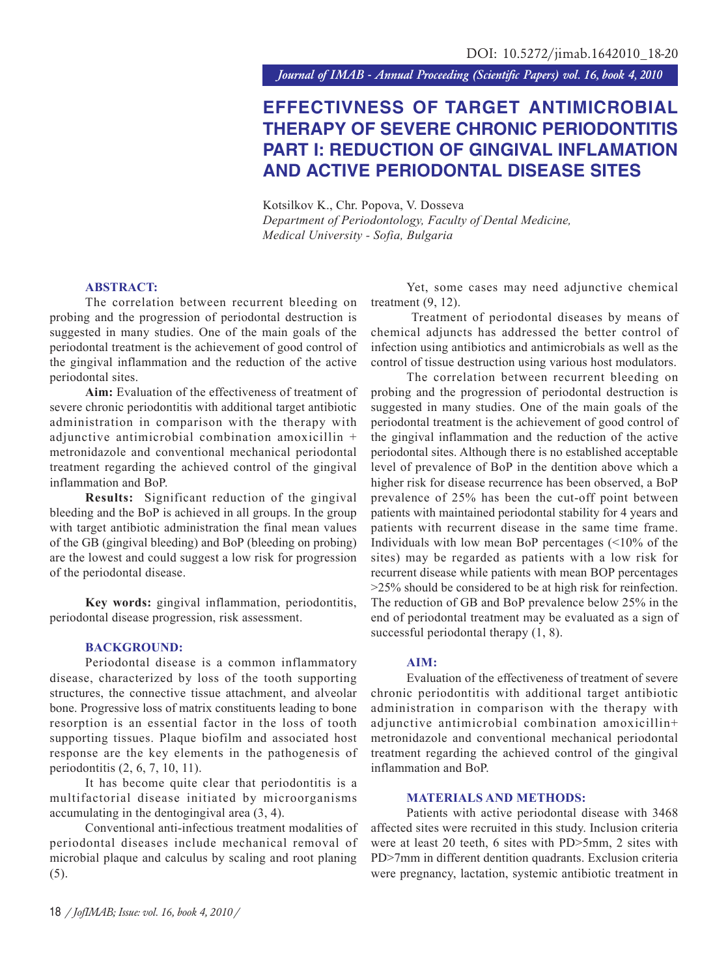*Journal of IMAB - Annual Proceeding (Scientific Papers) vol. 16, book 4, 2010*

# **EFFECTIVNESS OF TARGET ANTIMICROBIAL THERAPY OF SEVERE CHRONIC PERIODONTITIS PART I: REDUCTION OF GINGIVAL INFLAMATION AND ACTIVE PERIODONTAL DISEASE SITES**

Kotsilkov K., Chr. Popova, V. Dosseva *Department of Periodontology, Faculty of Dental Medicine, Medical University - Sofia, Bulgaria*

# **ABSTRACT:**

The correlation between recurrent bleeding on probing and the progression of periodontal destruction is suggested in many studies. One of the main goals of the periodontal treatment is the achievement of good control of the gingival inflammation and the reduction of the active periodontal sites.

**Aim:** Evaluation of the effectiveness of treatment of severe chronic periodontitis with additional target antibiotic administration in comparison with the therapy with adjunctive antimicrobial combination amoxicillin + metronidazole and conventional mechanical periodontal treatment regarding the achieved control of the gingival inflammation and BoP.

**Results:** Significant reduction of the gingival bleeding and the BoP is achieved in all groups. In the group with target antibiotic administration the final mean values of the GB (gingival bleeding) and BoP (bleeding on probing) are the lowest and could suggest a low risk for progression of the periodontal disease.

**Key words:** gingival inflammation, periodontitis, periodontal disease progression, risk assessment.

## **BACKGROUND:**

Periodontal disease is a common inflammatory disease, characterized by loss of the tooth supporting structures, the connective tissue attachment, and alveolar bone. Progressive loss of matrix constituents leading to bone resorption is an essential factor in the loss of tooth supporting tissues. Plaque biofilm and associated host response are the key elements in the pathogenesis of periodontitis (2, 6, 7, 10, 11).

It has become quite clear that periodontitis is a multifactorial disease initiated by microorganisms accumulating in the dentogingival area (3, 4).

Conventional anti-infectious treatment modalities of periodontal diseases include mechanical removal of microbial plaque and calculus by scaling and root planing (5).

Yet, some cases may need adjunctive chemical treatment (9, 12).

 Treatment of periodontal diseases by means of chemical adjuncts has addressed the better control of infection using antibiotics and antimicrobials as well as the control of tissue destruction using various host modulators.

The correlation between recurrent bleeding on probing and the progression of periodontal destruction is suggested in many studies. One of the main goals of the periodontal treatment is the achievement of good control of the gingival inflammation and the reduction of the active periodontal sites. Although there is no established acceptable level of prevalence of BoP in the dentition above which a higher risk for disease recurrence has been observed, a BoP prevalence of 25% has been the cut-off point between patients with maintained periodontal stability for 4 years and patients with recurrent disease in the same time frame. Individuals with low mean BoP percentages (<10% of the sites) may be regarded as patients with a low risk for recurrent disease while patients with mean BOP percentages >25% should be considered to be at high risk for reinfection. The reduction of GB and BoP prevalence below 25% in the end of periodontal treatment may be evaluated as a sign of successful periodontal therapy  $(1, 8)$ .

### **AIM:**

Evaluation of the effectiveness of treatment of severe chronic periodontitis with additional target antibiotic administration in comparison with the therapy with adjunctive antimicrobial combination amoxicillin+ metronidazole and conventional mechanical periodontal treatment regarding the achieved control of the gingival inflammation and BoP.

#### **MATERIALS AND METHODS:**

Patients with active periodontal disease with 3468 affected sites were recruited in this study. Inclusion criteria were at least 20 teeth, 6 sites with PD>5mm, 2 sites with PD>7mm in different dentition quadrants. Exclusion criteria were pregnancy, lactation, systemic antibiotic treatment in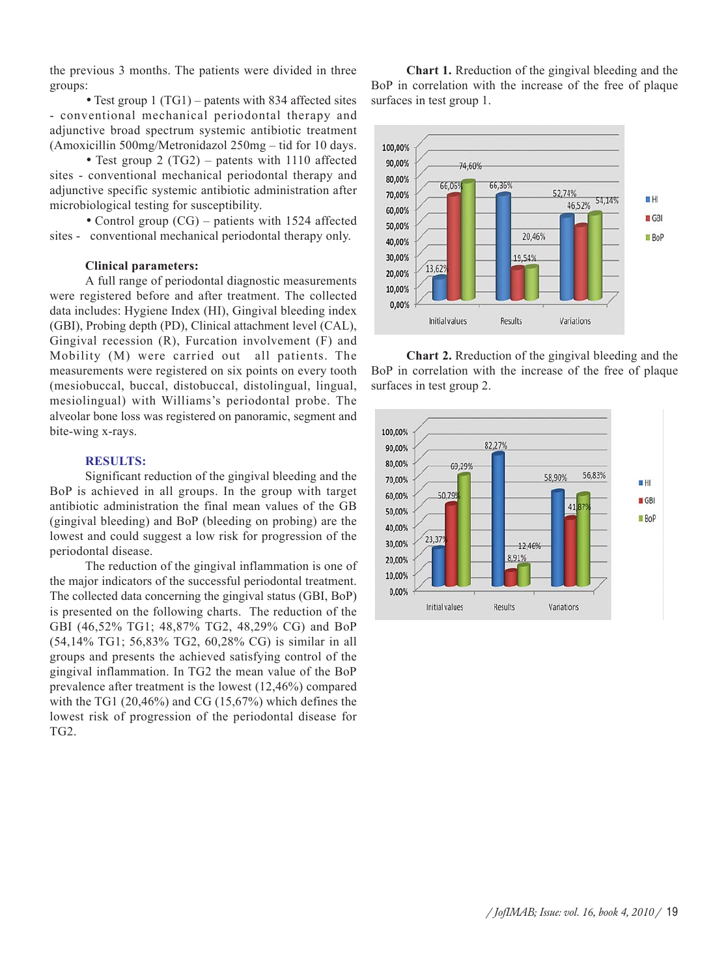the previous 3 months. The patients were divided in three groups:

• Test group 1 (TG1) – patents with 834 affected sites - conventional mechanical periodontal therapy and adjunctive broad spectrum systemic antibiotic treatment (Amoxicillin 500mg/Metronidazol 250mg – tid for 10 days.

• Test group 2 (TG2) – patents with 1110 affected sites - conventional mechanical periodontal therapy and adjunctive specific systemic antibiotic administration after microbiological testing for susceptibility.

• Control group (CG) – patients with 1524 affected sites - conventional mechanical periodontal therapy only.

## **Clinical parameters:**

A full range of periodontal diagnostic measurements were registered before and after treatment. The collected data includes: Hygiene Index (HI), Gingival bleeding index (GBI), Probing depth (PD), Clinical attachment level (CAL), Gingival recession (R), Furcation involvement (F) and Mobility (M) were carried out all patients. The measurements were registered on six points on every tooth (mesiobuccal, buccal, distobuccal, distolingual, lingual, mesiolingual) with Williams's periodontal probe. The alveolar bone loss was registered on panoramic, segment and bite-wing x-rays.

## **RESULTS:**

Significant reduction of the gingival bleeding and the BoP is achieved in all groups. In the group with target antibiotic administration the final mean values of the GB (gingival bleeding) and BoP (bleeding on probing) are the lowest and could suggest a low risk for progression of the periodontal disease.

The reduction of the gingival inflammation is one of the major indicators of the successful periodontal treatment. The collected data concerning the gingival status (GBI, BoP) is presented on the following charts. The reduction of the GBI (46,52% TG1; 48,87% TG2, 48,29% CG) and BoP (54,14% TG1; 56,83% TG2, 60,28% CG) is similar in all groups and presents the achieved satisfying control of the gingival inflammation. In TG2 the mean value of the BoP prevalence after treatment is the lowest (12,46%) compared with the TG1 (20,46%) and CG (15,67%) which defines the lowest risk of progression of the periodontal disease for TG2.

**Chart 1.** Rreduction of the gingival bleeding and the BoP in correlation with the increase of the free of plaque surfaces in test group 1.



**Chart 2.** Rreduction of the gingival bleeding and the BoP in correlation with the increase of the free of plaque surfaces in test group 2.